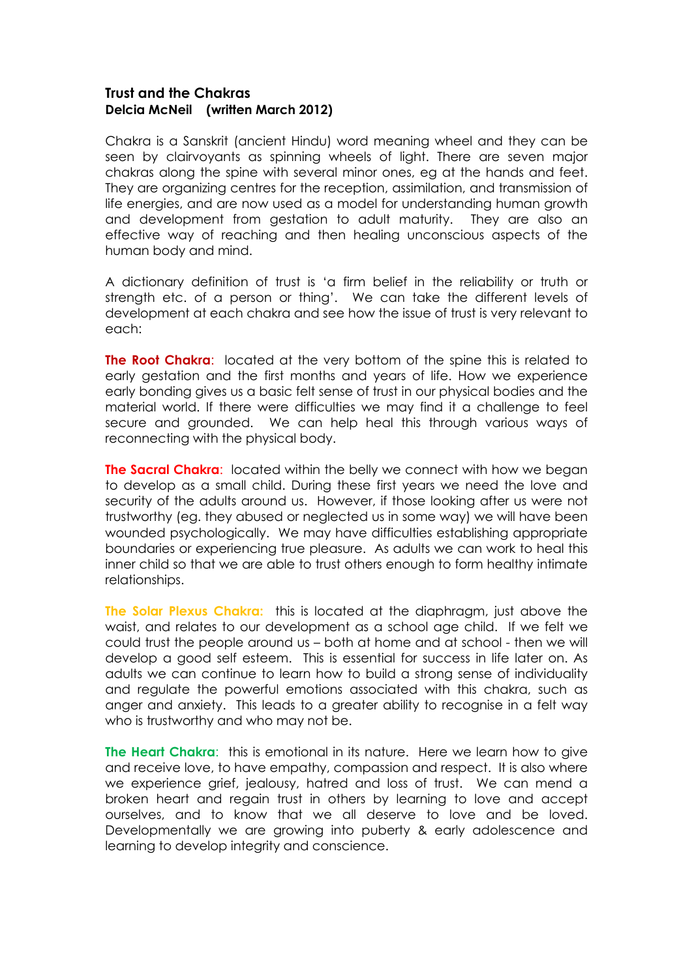## **Trust and the Chakras Delcia McNeil (written March 2012)**

Chakra is a Sanskrit (ancient Hindu) word meaning wheel and they can be seen by clairvoyants as spinning wheels of light. There are seven major chakras along the spine with several minor ones, eg at the hands and feet. They are organizing centres for the reception, assimilation, and transmission of life energies, and are now used as a model for understanding human growth and development from gestation to adult maturity. They are also an effective way of reaching and then healing unconscious aspects of the human body and mind.

A dictionary definition of trust is 'a firm belief in the reliability or truth or strength etc. of a person or thing'. We can take the different levels of development at each chakra and see how the issue of trust is very relevant to each:

**The Root Chakra:** located at the very bottom of the spine this is related to early gestation and the first months and years of life. How we experience early bonding gives us a basic felt sense of trust in our physical bodies and the material world. If there were difficulties we may find it a challenge to feel secure and grounded. We can help heal this through various ways of reconnecting with the physical body.

**The Sacral Chakra:** located within the belly we connect with how we began to develop as a small child. During these first years we need the love and security of the adults around us. However, if those looking after us were not trustworthy (eg. they abused or neglected us in some way) we will have been wounded psychologically. We may have difficulties establishing appropriate boundaries or experiencing true pleasure. As adults we can work to heal this inner child so that we are able to trust others enough to form healthy intimate relationships.

**The Solar Plexus Chakra:** this is located at the diaphragm, just above the waist, and relates to our development as a school age child. If we felt we could trust the people around us – both at home and at school - then we will develop a good self esteem. This is essential for success in life later on. As adults we can continue to learn how to build a strong sense of individuality and regulate the powerful emotions associated with this chakra, such as anger and anxiety. This leads to a greater ability to recognise in a felt way who is trustworthy and who may not be.

**The Heart Chakra**: this is emotional in its nature. Here we learn how to give and receive love, to have empathy, compassion and respect. It is also where we experience grief, jealousy, hatred and loss of trust. We can mend a broken heart and regain trust in others by learning to love and accept ourselves, and to know that we all deserve to love and be loved. Developmentally we are growing into puberty & early adolescence and learning to develop integrity and conscience.